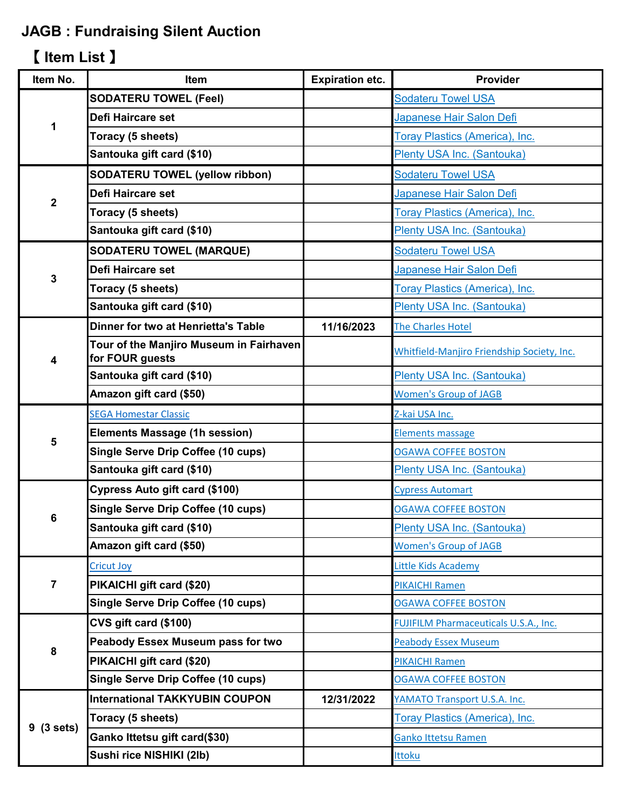## **JAGB : Fundraising Silent Auction**

## 【 **Item List** 】

| <b>SODATERU TOWEL (Feel)</b><br><b>Sodateru Towel USA</b><br>Defi Haircare set<br>Japanese Hair Salon Defi<br>1<br>Toracy (5 sheets)<br>Toray Plastics (America), Inc.<br>Santouka gift card (\$10)<br>Plenty USA Inc. (Santouka)<br><b>SODATERU TOWEL (yellow ribbon)</b><br><b>Sodateru Towel USA</b><br>Defi Haircare set<br>Japanese Hair Salon Defi<br>$\mathbf 2$<br>Toracy (5 sheets)<br>Toray Plastics (America), Inc.<br>Santouka gift card (\$10)<br>Plenty USA Inc. (Santouka)<br><b>SODATERU TOWEL (MARQUE)</b><br><b>Sodateru Towel USA</b><br><b>Defi Haircare set</b><br>Japanese Hair Salon Defi<br>3<br>Toracy (5 sheets)<br><b>Toray Plastics (America), Inc.</b><br>Santouka gift card (\$10)<br>Plenty USA Inc. (Santouka)<br><b>Dinner for two at Henrietta's Table</b><br>11/16/2023<br>The Charles Hotel<br>Tour of the Manjiro Museum in Fairhaven<br>Whitfield-Manjiro Friendship Society, Inc.<br>for FOUR guests<br>4<br>Santouka gift card (\$10)<br>Plenty USA Inc. (Santouka)<br>Amazon gift card (\$50)<br><b>Women's Group of JAGB</b><br><b>SEGA Homestar Classic</b><br>Z-kai USA Inc.<br><b>Elements Massage (1h session)</b><br><b>Elements massage</b><br>5<br><b>Single Serve Drip Coffee (10 cups)</b><br><b>OGAWA COFFEE BOSTON</b><br>Santouka gift card (\$10)<br>Plenty USA Inc. (Santouka)<br>Cypress Auto gift card (\$100)<br><b>Cypress Automart</b><br><b>Single Serve Drip Coffee (10 cups)</b><br><b>OGAWA COFFEE BOSTON</b><br>6<br>Santouka gift card (\$10)<br>Plenty USA Inc. (Santouka)<br>Amazon gift card (\$50)<br><b>Women's Group of JAGB</b><br><b>Cricut Joy</b><br>Little Kids Academy<br>7<br>PIKAICHI gift card (\$20)<br><b>PIKAICHI Ramen</b><br>Single Serve Drip Coffee (10 cups)<br><b>OGAWA COFFEE BOSTON</b><br>CVS gift card (\$100)<br><b>FUJIFILM Pharmaceuticals U.S.A., Inc.</b><br>Peabody Essex Museum pass for two<br><b>Peabody Essex Museum</b><br>8<br>PIKAICHI gift card (\$20)<br><b>PIKAICHI Ramen</b><br><b>Single Serve Drip Coffee (10 cups)</b><br><b>OGAWA COFFEE BOSTON</b><br><b>International TAKKYUBIN COUPON</b><br>12/31/2022<br>YAMATO Transport U.S.A. Inc.<br>Toracy (5 sheets)<br><b>Toray Plastics (America), Inc.</b><br>9(3 sets)<br>Ganko Ittetsu gift card(\$30)<br><b>Ganko Ittetsu Ramen</b><br>Sushi rice NISHIKI (2lb)<br>Ittoku | Item No. | Item | <b>Expiration etc.</b> | Provider |
|------------------------------------------------------------------------------------------------------------------------------------------------------------------------------------------------------------------------------------------------------------------------------------------------------------------------------------------------------------------------------------------------------------------------------------------------------------------------------------------------------------------------------------------------------------------------------------------------------------------------------------------------------------------------------------------------------------------------------------------------------------------------------------------------------------------------------------------------------------------------------------------------------------------------------------------------------------------------------------------------------------------------------------------------------------------------------------------------------------------------------------------------------------------------------------------------------------------------------------------------------------------------------------------------------------------------------------------------------------------------------------------------------------------------------------------------------------------------------------------------------------------------------------------------------------------------------------------------------------------------------------------------------------------------------------------------------------------------------------------------------------------------------------------------------------------------------------------------------------------------------------------------------------------------------------------------------------------------------------------------------------------------------------------------------------------------------------------------------------------------------------------------------------------------------------------------------------------------------------------------------------------------------------------------------------------------------------------------|----------|------|------------------------|----------|
|                                                                                                                                                                                                                                                                                                                                                                                                                                                                                                                                                                                                                                                                                                                                                                                                                                                                                                                                                                                                                                                                                                                                                                                                                                                                                                                                                                                                                                                                                                                                                                                                                                                                                                                                                                                                                                                                                                                                                                                                                                                                                                                                                                                                                                                                                                                                                |          |      |                        |          |
|                                                                                                                                                                                                                                                                                                                                                                                                                                                                                                                                                                                                                                                                                                                                                                                                                                                                                                                                                                                                                                                                                                                                                                                                                                                                                                                                                                                                                                                                                                                                                                                                                                                                                                                                                                                                                                                                                                                                                                                                                                                                                                                                                                                                                                                                                                                                                |          |      |                        |          |
|                                                                                                                                                                                                                                                                                                                                                                                                                                                                                                                                                                                                                                                                                                                                                                                                                                                                                                                                                                                                                                                                                                                                                                                                                                                                                                                                                                                                                                                                                                                                                                                                                                                                                                                                                                                                                                                                                                                                                                                                                                                                                                                                                                                                                                                                                                                                                |          |      |                        |          |
|                                                                                                                                                                                                                                                                                                                                                                                                                                                                                                                                                                                                                                                                                                                                                                                                                                                                                                                                                                                                                                                                                                                                                                                                                                                                                                                                                                                                                                                                                                                                                                                                                                                                                                                                                                                                                                                                                                                                                                                                                                                                                                                                                                                                                                                                                                                                                |          |      |                        |          |
|                                                                                                                                                                                                                                                                                                                                                                                                                                                                                                                                                                                                                                                                                                                                                                                                                                                                                                                                                                                                                                                                                                                                                                                                                                                                                                                                                                                                                                                                                                                                                                                                                                                                                                                                                                                                                                                                                                                                                                                                                                                                                                                                                                                                                                                                                                                                                |          |      |                        |          |
|                                                                                                                                                                                                                                                                                                                                                                                                                                                                                                                                                                                                                                                                                                                                                                                                                                                                                                                                                                                                                                                                                                                                                                                                                                                                                                                                                                                                                                                                                                                                                                                                                                                                                                                                                                                                                                                                                                                                                                                                                                                                                                                                                                                                                                                                                                                                                |          |      |                        |          |
|                                                                                                                                                                                                                                                                                                                                                                                                                                                                                                                                                                                                                                                                                                                                                                                                                                                                                                                                                                                                                                                                                                                                                                                                                                                                                                                                                                                                                                                                                                                                                                                                                                                                                                                                                                                                                                                                                                                                                                                                                                                                                                                                                                                                                                                                                                                                                |          |      |                        |          |
|                                                                                                                                                                                                                                                                                                                                                                                                                                                                                                                                                                                                                                                                                                                                                                                                                                                                                                                                                                                                                                                                                                                                                                                                                                                                                                                                                                                                                                                                                                                                                                                                                                                                                                                                                                                                                                                                                                                                                                                                                                                                                                                                                                                                                                                                                                                                                |          |      |                        |          |
|                                                                                                                                                                                                                                                                                                                                                                                                                                                                                                                                                                                                                                                                                                                                                                                                                                                                                                                                                                                                                                                                                                                                                                                                                                                                                                                                                                                                                                                                                                                                                                                                                                                                                                                                                                                                                                                                                                                                                                                                                                                                                                                                                                                                                                                                                                                                                |          |      |                        |          |
|                                                                                                                                                                                                                                                                                                                                                                                                                                                                                                                                                                                                                                                                                                                                                                                                                                                                                                                                                                                                                                                                                                                                                                                                                                                                                                                                                                                                                                                                                                                                                                                                                                                                                                                                                                                                                                                                                                                                                                                                                                                                                                                                                                                                                                                                                                                                                |          |      |                        |          |
|                                                                                                                                                                                                                                                                                                                                                                                                                                                                                                                                                                                                                                                                                                                                                                                                                                                                                                                                                                                                                                                                                                                                                                                                                                                                                                                                                                                                                                                                                                                                                                                                                                                                                                                                                                                                                                                                                                                                                                                                                                                                                                                                                                                                                                                                                                                                                |          |      |                        |          |
|                                                                                                                                                                                                                                                                                                                                                                                                                                                                                                                                                                                                                                                                                                                                                                                                                                                                                                                                                                                                                                                                                                                                                                                                                                                                                                                                                                                                                                                                                                                                                                                                                                                                                                                                                                                                                                                                                                                                                                                                                                                                                                                                                                                                                                                                                                                                                |          |      |                        |          |
|                                                                                                                                                                                                                                                                                                                                                                                                                                                                                                                                                                                                                                                                                                                                                                                                                                                                                                                                                                                                                                                                                                                                                                                                                                                                                                                                                                                                                                                                                                                                                                                                                                                                                                                                                                                                                                                                                                                                                                                                                                                                                                                                                                                                                                                                                                                                                |          |      |                        |          |
|                                                                                                                                                                                                                                                                                                                                                                                                                                                                                                                                                                                                                                                                                                                                                                                                                                                                                                                                                                                                                                                                                                                                                                                                                                                                                                                                                                                                                                                                                                                                                                                                                                                                                                                                                                                                                                                                                                                                                                                                                                                                                                                                                                                                                                                                                                                                                |          |      |                        |          |
|                                                                                                                                                                                                                                                                                                                                                                                                                                                                                                                                                                                                                                                                                                                                                                                                                                                                                                                                                                                                                                                                                                                                                                                                                                                                                                                                                                                                                                                                                                                                                                                                                                                                                                                                                                                                                                                                                                                                                                                                                                                                                                                                                                                                                                                                                                                                                |          |      |                        |          |
|                                                                                                                                                                                                                                                                                                                                                                                                                                                                                                                                                                                                                                                                                                                                                                                                                                                                                                                                                                                                                                                                                                                                                                                                                                                                                                                                                                                                                                                                                                                                                                                                                                                                                                                                                                                                                                                                                                                                                                                                                                                                                                                                                                                                                                                                                                                                                |          |      |                        |          |
|                                                                                                                                                                                                                                                                                                                                                                                                                                                                                                                                                                                                                                                                                                                                                                                                                                                                                                                                                                                                                                                                                                                                                                                                                                                                                                                                                                                                                                                                                                                                                                                                                                                                                                                                                                                                                                                                                                                                                                                                                                                                                                                                                                                                                                                                                                                                                |          |      |                        |          |
|                                                                                                                                                                                                                                                                                                                                                                                                                                                                                                                                                                                                                                                                                                                                                                                                                                                                                                                                                                                                                                                                                                                                                                                                                                                                                                                                                                                                                                                                                                                                                                                                                                                                                                                                                                                                                                                                                                                                                                                                                                                                                                                                                                                                                                                                                                                                                |          |      |                        |          |
|                                                                                                                                                                                                                                                                                                                                                                                                                                                                                                                                                                                                                                                                                                                                                                                                                                                                                                                                                                                                                                                                                                                                                                                                                                                                                                                                                                                                                                                                                                                                                                                                                                                                                                                                                                                                                                                                                                                                                                                                                                                                                                                                                                                                                                                                                                                                                |          |      |                        |          |
|                                                                                                                                                                                                                                                                                                                                                                                                                                                                                                                                                                                                                                                                                                                                                                                                                                                                                                                                                                                                                                                                                                                                                                                                                                                                                                                                                                                                                                                                                                                                                                                                                                                                                                                                                                                                                                                                                                                                                                                                                                                                                                                                                                                                                                                                                                                                                |          |      |                        |          |
|                                                                                                                                                                                                                                                                                                                                                                                                                                                                                                                                                                                                                                                                                                                                                                                                                                                                                                                                                                                                                                                                                                                                                                                                                                                                                                                                                                                                                                                                                                                                                                                                                                                                                                                                                                                                                                                                                                                                                                                                                                                                                                                                                                                                                                                                                                                                                |          |      |                        |          |
|                                                                                                                                                                                                                                                                                                                                                                                                                                                                                                                                                                                                                                                                                                                                                                                                                                                                                                                                                                                                                                                                                                                                                                                                                                                                                                                                                                                                                                                                                                                                                                                                                                                                                                                                                                                                                                                                                                                                                                                                                                                                                                                                                                                                                                                                                                                                                |          |      |                        |          |
|                                                                                                                                                                                                                                                                                                                                                                                                                                                                                                                                                                                                                                                                                                                                                                                                                                                                                                                                                                                                                                                                                                                                                                                                                                                                                                                                                                                                                                                                                                                                                                                                                                                                                                                                                                                                                                                                                                                                                                                                                                                                                                                                                                                                                                                                                                                                                |          |      |                        |          |
|                                                                                                                                                                                                                                                                                                                                                                                                                                                                                                                                                                                                                                                                                                                                                                                                                                                                                                                                                                                                                                                                                                                                                                                                                                                                                                                                                                                                                                                                                                                                                                                                                                                                                                                                                                                                                                                                                                                                                                                                                                                                                                                                                                                                                                                                                                                                                |          |      |                        |          |
|                                                                                                                                                                                                                                                                                                                                                                                                                                                                                                                                                                                                                                                                                                                                                                                                                                                                                                                                                                                                                                                                                                                                                                                                                                                                                                                                                                                                                                                                                                                                                                                                                                                                                                                                                                                                                                                                                                                                                                                                                                                                                                                                                                                                                                                                                                                                                |          |      |                        |          |
|                                                                                                                                                                                                                                                                                                                                                                                                                                                                                                                                                                                                                                                                                                                                                                                                                                                                                                                                                                                                                                                                                                                                                                                                                                                                                                                                                                                                                                                                                                                                                                                                                                                                                                                                                                                                                                                                                                                                                                                                                                                                                                                                                                                                                                                                                                                                                |          |      |                        |          |
|                                                                                                                                                                                                                                                                                                                                                                                                                                                                                                                                                                                                                                                                                                                                                                                                                                                                                                                                                                                                                                                                                                                                                                                                                                                                                                                                                                                                                                                                                                                                                                                                                                                                                                                                                                                                                                                                                                                                                                                                                                                                                                                                                                                                                                                                                                                                                |          |      |                        |          |
|                                                                                                                                                                                                                                                                                                                                                                                                                                                                                                                                                                                                                                                                                                                                                                                                                                                                                                                                                                                                                                                                                                                                                                                                                                                                                                                                                                                                                                                                                                                                                                                                                                                                                                                                                                                                                                                                                                                                                                                                                                                                                                                                                                                                                                                                                                                                                |          |      |                        |          |
|                                                                                                                                                                                                                                                                                                                                                                                                                                                                                                                                                                                                                                                                                                                                                                                                                                                                                                                                                                                                                                                                                                                                                                                                                                                                                                                                                                                                                                                                                                                                                                                                                                                                                                                                                                                                                                                                                                                                                                                                                                                                                                                                                                                                                                                                                                                                                |          |      |                        |          |
|                                                                                                                                                                                                                                                                                                                                                                                                                                                                                                                                                                                                                                                                                                                                                                                                                                                                                                                                                                                                                                                                                                                                                                                                                                                                                                                                                                                                                                                                                                                                                                                                                                                                                                                                                                                                                                                                                                                                                                                                                                                                                                                                                                                                                                                                                                                                                |          |      |                        |          |
|                                                                                                                                                                                                                                                                                                                                                                                                                                                                                                                                                                                                                                                                                                                                                                                                                                                                                                                                                                                                                                                                                                                                                                                                                                                                                                                                                                                                                                                                                                                                                                                                                                                                                                                                                                                                                                                                                                                                                                                                                                                                                                                                                                                                                                                                                                                                                |          |      |                        |          |
|                                                                                                                                                                                                                                                                                                                                                                                                                                                                                                                                                                                                                                                                                                                                                                                                                                                                                                                                                                                                                                                                                                                                                                                                                                                                                                                                                                                                                                                                                                                                                                                                                                                                                                                                                                                                                                                                                                                                                                                                                                                                                                                                                                                                                                                                                                                                                |          |      |                        |          |
|                                                                                                                                                                                                                                                                                                                                                                                                                                                                                                                                                                                                                                                                                                                                                                                                                                                                                                                                                                                                                                                                                                                                                                                                                                                                                                                                                                                                                                                                                                                                                                                                                                                                                                                                                                                                                                                                                                                                                                                                                                                                                                                                                                                                                                                                                                                                                |          |      |                        |          |
|                                                                                                                                                                                                                                                                                                                                                                                                                                                                                                                                                                                                                                                                                                                                                                                                                                                                                                                                                                                                                                                                                                                                                                                                                                                                                                                                                                                                                                                                                                                                                                                                                                                                                                                                                                                                                                                                                                                                                                                                                                                                                                                                                                                                                                                                                                                                                |          |      |                        |          |
|                                                                                                                                                                                                                                                                                                                                                                                                                                                                                                                                                                                                                                                                                                                                                                                                                                                                                                                                                                                                                                                                                                                                                                                                                                                                                                                                                                                                                                                                                                                                                                                                                                                                                                                                                                                                                                                                                                                                                                                                                                                                                                                                                                                                                                                                                                                                                |          |      |                        |          |